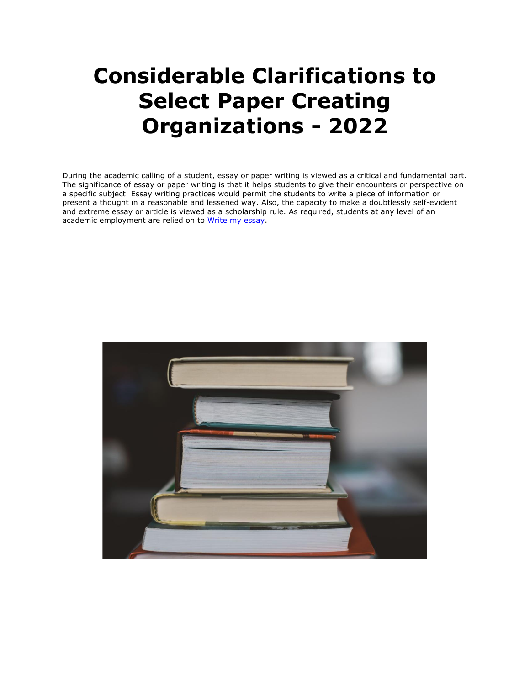# **Considerable Clarifications to Select Paper Creating Organizations - 2022**

During the academic calling of a student, essay or paper writing is viewed as a critical and fundamental part. The significance of essay or paper writing is that it helps students to give their encounters or perspective on a specific subject. Essay writing practices would permit the students to write a piece of information or present a thought in a reasonable and lessened way. Also, the capacity to make a doubtlessly self-evident and extreme essay or article is viewed as a scholarship rule. As required, students at any level of an academic employment are relied on to [Write my essay.](https://essayhours.com/)

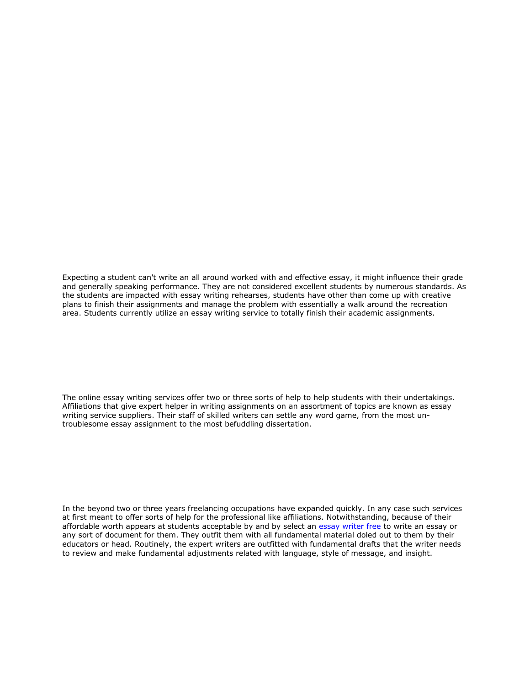Expecting a student can't write an all around worked with and effective essay, it might influence their grade and generally speaking performance. They are not considered excellent students by numerous standards. As the students are impacted with essay writing rehearses, students have other than come up with creative plans to finish their assignments and manage the problem with essentially a walk around the recreation area. Students currently utilize an essay writing service to totally finish their academic assignments.

The online essay writing services offer two or three sorts of help to help students with their undertakings. Affiliations that give expert helper in writing assignments on an assortment of topics are known as essay writing service suppliers. Their staff of skilled writers can settle any word game, from the most untroublesome essay assignment to the most befuddling dissertation.

In the beyond two or three years freelancing occupations have expanded quickly. In any case such services at first meant to offer sorts of help for the professional like affiliations. Notwithstanding, because of their affordable worth appears at students acceptable by and by select an [essay writer free](https://www.essaywriter.college/) to write an essay or any sort of document for them. They outfit them with all fundamental material doled out to them by their educators or head. Routinely, the expert writers are outfitted with fundamental drafts that the writer needs to review and make fundamental adjustments related with language, style of message, and insight.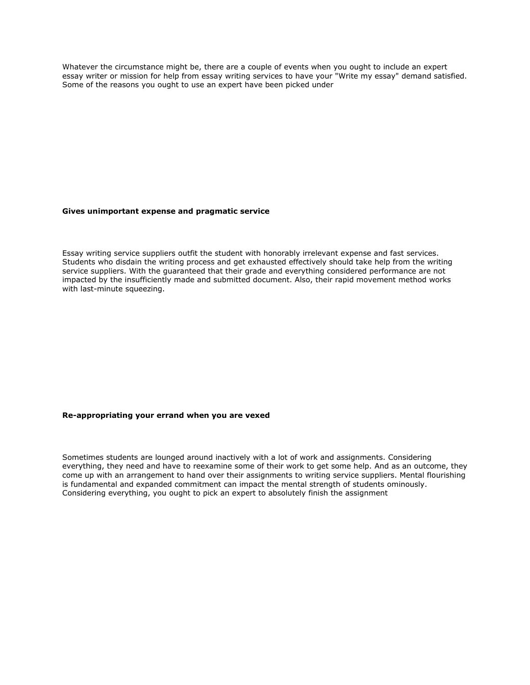Whatever the circumstance might be, there are a couple of events when you ought to include an expert essay writer or mission for help from essay writing services to have your "Write my essay" demand satisfied. Some of the reasons you ought to use an expert have been picked under

### **Gives unimportant expense and pragmatic service**

Essay writing service suppliers outfit the student with honorably irrelevant expense and fast services. Students who disdain the writing process and get exhausted effectively should take help from the writing service suppliers. With the guaranteed that their grade and everything considered performance are not impacted by the insufficiently made and submitted document. Also, their rapid movement method works with last-minute squeezing.

## **Re-appropriating your errand when you are vexed**

Sometimes students are lounged around inactively with a lot of work and assignments. Considering everything, they need and have to reexamine some of their work to get some help. And as an outcome, they come up with an arrangement to hand over their assignments to writing service suppliers. Mental flourishing is fundamental and expanded commitment can impact the mental strength of students ominously. Considering everything, you ought to pick an expert to absolutely finish the assignment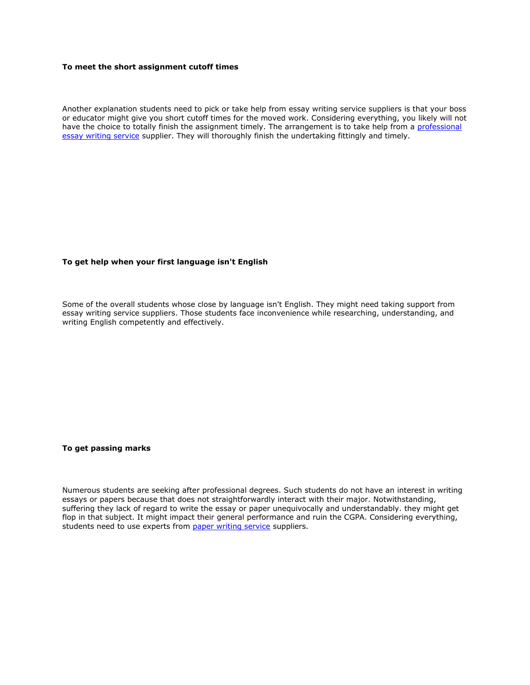# **To meet the short assignment cutoff times**

Another explanation students need to pick or take help from essay writing service suppliers is that your boss or educator might give you short cutoff times for the moved work. Considering everything, you likely will not have the choice to totally finish the assignment timely. The arrangement is to take help from a professional [essay writing service](https://www.essaywritingservice.college/) supplier. They will thoroughly finish the undertaking fittingly and timely.

# **To get help when your first language isn't English**

Some of the overall students whose close by language isn't English. They might need taking support from essay writing service suppliers. Those students face inconvenience while researching, understanding, and writing English competently and effectively.

**To get passing marks**

Numerous students are seeking after professional degrees. Such students do not have an interest in writing essays or papers because that does not straightforwardly interact with their major. Notwithstanding, suffering they lack of regard to write the essay or paper unequivocally and understandably. they might get flop in that subject. It might impact their general performance and ruin the CGPA. Considering everything, students need to use experts from [paper writing service](https://www.sharkpapers.com/) suppliers.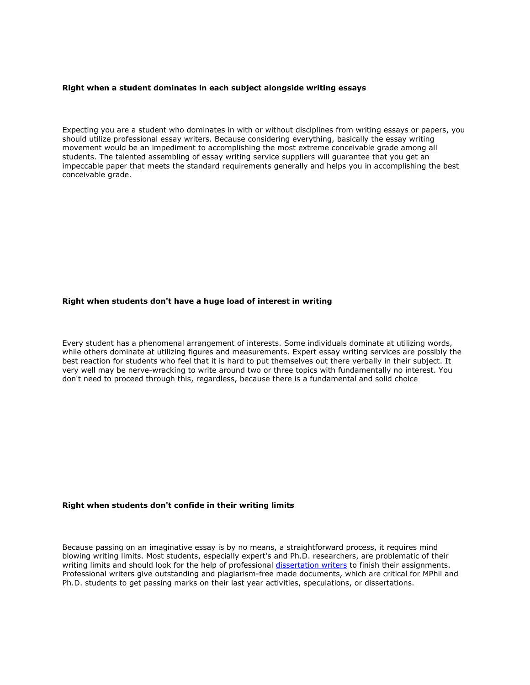#### **Right when a student dominates in each subject alongside writing essays**

Expecting you are a student who dominates in with or without disciplines from writing essays or papers, you should utilize professional essay writers. Because considering everything, basically the essay writing movement would be an impediment to accomplishing the most extreme conceivable grade among all students. The talented assembling of essay writing service suppliers will guarantee that you get an impeccable paper that meets the standard requirements generally and helps you in accomplishing the best conceivable grade.

## **Right when students don't have a huge load of interest in writing**

Every student has a phenomenal arrangement of interests. Some individuals dominate at utilizing words, while others dominate at utilizing figures and measurements. Expert essay writing services are possibly the best reaction for students who feel that it is hard to put themselves out there verbally in their subject. It very well may be nerve-wracking to write around two or three topics with fundamentally no interest. You don't need to proceed through this, regardless, because there is a fundamental and solid choice

#### **Right when students don't confide in their writing limits**

Because passing on an imaginative essay is by no means, a straightforward process, it requires mind blowing writing limits. Most students, especially expert's and Ph.D. researchers, are problematic of their writing limits and should look for the help of professional [dissertation writers](https://www.gradschoolgenius.com/professional-dissertation-writers) to finish their assignments. Professional writers give outstanding and plagiarism-free made documents, which are critical for MPhil and Ph.D. students to get passing marks on their last year activities, speculations, or dissertations.